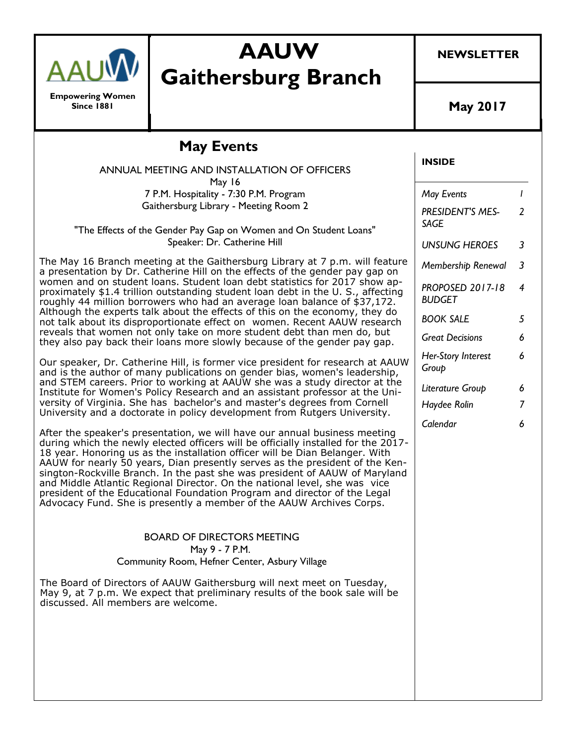

**Empowering Women Since 1881**

# **AAUW Gaithersburg Branch**

**NEWSLETTER**

**May 2017**

#### **INSIDE** *May Events 1 PRESIDENT'S MES-SAGE 2 UNSUNG HEROES 3 Membership Renewal 3 PROPOSED 2017-18 BUDGET 4 BOOK SALE 5 Great Decisions 6 Her-Story Interest Group 6 Literature Group 6 Haydee Rolin 7 Calendar 6* **May Events** ANNUAL MEETING AND INSTALLATION OF OFFICERS May 16 7 P.M. Hospitality - 7:30 P.M. Program Gaithersburg Library - Meeting Room 2 "The Effects of the Gender Pay Gap on Women and On Student Loans" Speaker: Dr. Catherine Hill The May 16 Branch meeting at the Gaithersburg Library at 7 p.m. will feature a presentation by Dr. Catherine Hill on the effects of the gender pay gap on women and on student loans. Student loan debt statistics for 2017 show approximately \$1.4 trillion outstanding student loan debt in the U. S., affecting roughly 44 million borrowers who had an average loan balance of \$37,172. Although the experts talk about the effects of this on the economy, they do not talk about its disproportionate effect on women. Recent AAUW research reveals that women not only take on more student debt than men do, but they also pay back their loans more slowly because of the gender pay gap. Our speaker, Dr. Catherine Hill, is former vice president for research at AAUW and is the author of many publications on gender bias, women's leadership, and STEM careers. Prior to working at AAUW she was a study director at the Institute for Women's Policy Research and an assistant professor at the University of Virginia. She has bachelor's and master's degrees from Cornell University and a doctorate in policy development from Rutgers University. After the speaker's presentation, we will have our annual business meeting during which the newly elected officers will be officially installed for the 2017- 18 year. Honoring us as the installation officer will be Dian Belanger. With AAUW for nearly 50 years, Dian presently serves as the president of the Kensington-Rockville Branch. In the past she was president of AAUW of Maryland and Middle Atlantic Regional Director. On the national level, she was vice president of the Educational Foundation Program and director of the Legal Advocacy Fund. She is presently a member of the AAUW Archives Corps. BOARD OF DIRECTORS MEETING May 9 - 7 P.M. Community Room, Hefner Center, Asbury Village The Board of Directors of AAUW Gaithersburg will next meet on Tuesday, May 9, at 7 p.m. We expect that preliminary results of the book sale will be discussed. All members are welcome.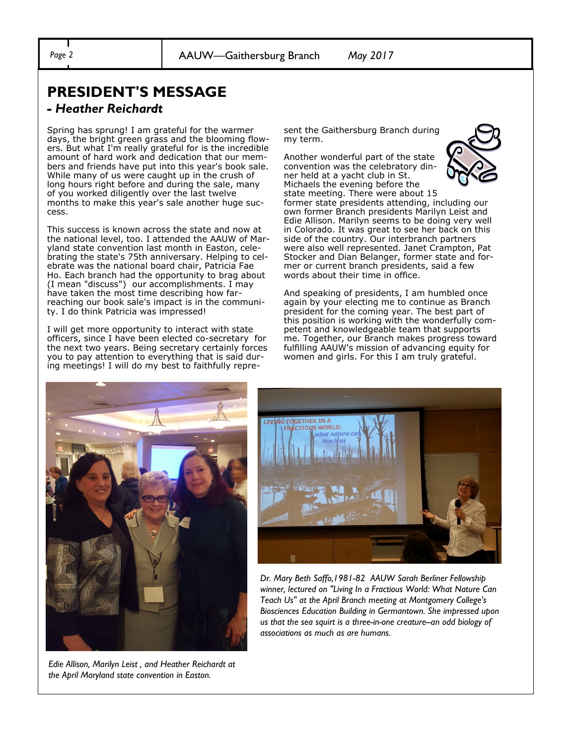## **PRESIDENT'S MESSAGE**

#### *- Heather Reichardt*

Spring has sprung! I am grateful for the warmer days, the bright green grass and the blooming flowers. But what I'm really grateful for is the incredible amount of hard work and dedication that our members and friends have put into this year's book sale. While many of us were caught up in the crush of long hours right before and during the sale, many of you worked diligently over the last twelve months to make this year's sale another huge success.

This success is known across the state and now at the national level, too. I attended the AAUW of Maryland state convention last month in Easton, celebrating the state's 75th anniversary. Helping to celebrate was the national board chair, Patricia Fae Ho. Each branch had the opportunity to brag about (I mean "discuss") our accomplishments. I may have taken the most time describing how farreaching our book sale's impact is in the community. I do think Patricia was impressed!

I will get more opportunity to interact with state officers, since I have been elected co-secretary for the next two years. Being secretary certainly forces you to pay attention to everything that is said during meetings! I will do my best to faithfully represent the Gaithersburg Branch during my term.

Another wonderful part of the state convention was the celebratory dinner held at a yacht club in St. Michaels the evening before the



state meeting. There were about 15 former state presidents attending, including our own former Branch presidents Marilyn Leist and Edie Allison. Marilyn seems to be doing very well in Colorado. It was great to see her back on this side of the country. Our interbranch partners were also well represented. Janet Crampton, Pat Stocker and Dian Belanger, former state and former or current branch presidents, said a few words about their time in office.

And speaking of presidents, I am humbled once again by your electing me to continue as Branch president for the coming year. The best part of this position is working with the wonderfully competent and knowledgeable team that supports me. Together, our Branch makes progress toward fulfilling AAUW's mission of advancing equity for women and girls. For this I am truly grateful.



*Edie Allison, Marilyn Leist , and Heather Reichardt at the April Maryland state convention in Easton.* 



*Dr. Mary Beth Saffo,1981-82 AAUW Sarah Berliner Fellowship winner, lectured on "Living In a Fractious World: What Nature Can Teach Us" at the April Branch meeting at Montgomery College's Biosciences Education Building in Germantown. She impressed upon us that the sea squirt is a three-in-one creature--an odd biology of associations as much as are humans.*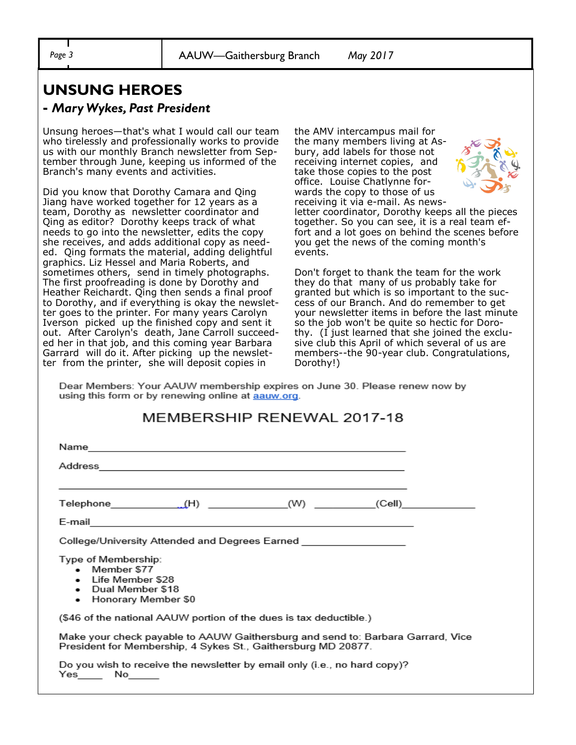## **UNSUNG HEROES**

#### **-** *Mary Wykes, Past President*

Unsung heroes—that's what I would call our team who tirelessly and professionally works to provide us with our monthly Branch newsletter from September through June, keeping us informed of the Branch's many events and activities.

Did you know that Dorothy Camara and Qing Jiang have worked together for 12 years as a team, Dorothy as newsletter coordinator and Qing as editor? Dorothy keeps track of what needs to go into the newsletter, edits the copy she receives, and adds additional copy as needed. Qing formats the material, adding delightful graphics. Liz Hessel and Maria Roberts, and sometimes others, send in timely photographs. The first proofreading is done by Dorothy and Heather Reichardt. Qing then sends a final proof to Dorothy, and if everything is okay the newsletter goes to the printer. For many years Carolyn Iverson picked up the finished copy and sent it out. After Carolyn's death, Jane Carroll succeeded her in that job, and this coming year Barbara Garrard will do it. After picking up the newsletter from the printer, she will deposit copies in

the AMV intercampus mail for the many members living at Asbury, add labels for those not receiving internet copies, and take those copies to the post office. Louise Chatlynne forwards the copy to those of us receiving it via e-mail. As news-



letter coordinator, Dorothy keeps all the pieces together. So you can see, it is a real team effort and a lot goes on behind the scenes before you get the news of the coming month's events.

Don't forget to thank the team for the work they do that many of us probably take for granted but which is so important to the success of our Branch. And do remember to get your newsletter items in before the last minute so the job won't be quite so hectic for Dorothy. (I just learned that she joined the exclusive club this April of which several of us are members--the 90-year club. Congratulations, Dorothy!)

Dear Members: Your AAUW membership expires on June 30. Please renew now by using this form or by renewing online at **aauw.org**.

#### MEMBERSHIP RENEWAL 2017-18

| College/University Attended and Degrees Earned ________________                                                                                  |  |  |  |  |  |  |  |
|--------------------------------------------------------------------------------------------------------------------------------------------------|--|--|--|--|--|--|--|
| Type of Membership:<br>• Member \$77<br>• Life Member \$28<br>• Dual Member \$18<br>• Honorary Member \$0                                        |  |  |  |  |  |  |  |
| (\$46 of the national AAUW portion of the dues is tax deductible.)                                                                               |  |  |  |  |  |  |  |
| Make your check payable to AAUW Gaithersburg and send to: Barbara Garrard, Vice<br>President for Membership, 4 Sykes St., Gaithersburg MD 20877. |  |  |  |  |  |  |  |
| Do you wish to receive the newsletter by email only (i.e., no hard copy)?<br>Yes No                                                              |  |  |  |  |  |  |  |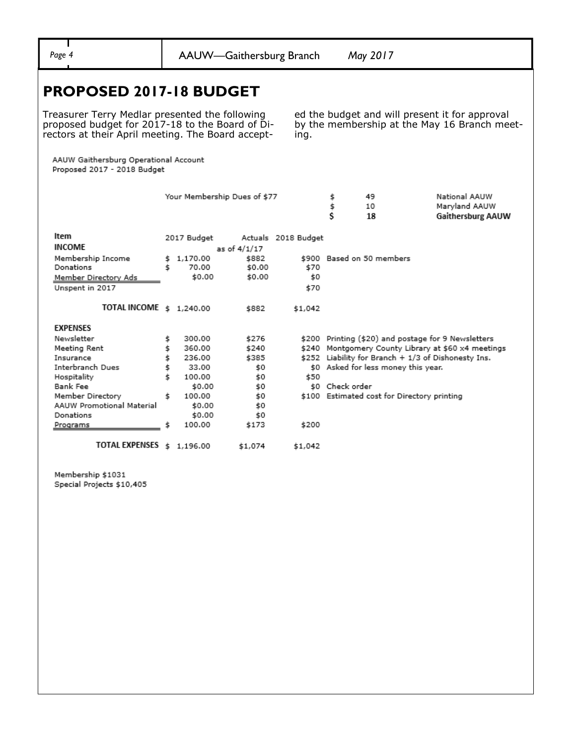| v<br>ο |  |
|--------|--|
|        |  |

Page 4 **AAUW—Gaithersburg Branch** *May 2017* 

ing.

ed the budget and will present it for approval by the membership at the May 16 Branch meet-

### **PROPOSED 2017-18 BUDGET**

Treasurer Terry Medlar presented the following proposed budget for 2017-18 to the Board of Directors at their April meeting. The Board accept-

AAUW Gaithersburg Operational Account Proposed 2017 - 2018 Budget

|                                  | Your Membership Dues of \$77 |                   |                 | ş                   | 49              | National AAUW                               |                                               |
|----------------------------------|------------------------------|-------------------|-----------------|---------------------|-----------------|---------------------------------------------|-----------------------------------------------|
|                                  |                              |                   |                 |                     | \$              | 10                                          | Maryland AAUW                                 |
|                                  |                              |                   |                 |                     | \$              | 18                                          | Gaithersburg AAUW                             |
| Item                             | 2017 Budget                  |                   |                 | Actuals 2018 Budget |                 |                                             |                                               |
| <b>INCOME</b>                    |                              |                   | as of 4/1/17    |                     |                 |                                             |                                               |
|                                  |                              |                   |                 |                     |                 | \$900 Based on 50 members                   |                                               |
| Membership Income<br>Donations   | \$<br>Ś                      | 1,170.00<br>70.00 | \$882<br>\$0.00 | \$70                |                 |                                             |                                               |
|                                  |                              | \$0.00            | \$0.00          | \$0                 |                 |                                             |                                               |
| Member Directory Ads             |                              |                   |                 |                     |                 |                                             |                                               |
| Unspent in 2017                  |                              |                   |                 | \$70                |                 |                                             |                                               |
| TOTAL INCOME \$ 1,240.00         |                              |                   | \$882           | \$1,042             |                 |                                             |                                               |
| <b>EXPENSES</b>                  |                              |                   |                 |                     |                 |                                             |                                               |
| Newsletter                       | \$                           | 300.00            | \$276           | \$200               |                 |                                             | Printing (\$20) and postage for 9 Newsletters |
| Meeting Rent                     | \$                           | 360.00            | \$240           | \$240               |                 |                                             | Montgomery County Library at \$60 x4 meetings |
| Insurance                        | \$                           | 236.00            | \$385           | \$252               |                 |                                             | Liability for Branch + 1/3 of Dishonesty Ins. |
| Interbranch Dues                 | \$                           | 33.00             | \$0             | \$0                 |                 | Asked for less money this year.             |                                               |
| Hospitality                      | Ś                            | 100.00            | \$0             | \$50                |                 |                                             |                                               |
| Bank Fee                         |                              | \$0.00            | \$0             |                     | \$0 Check order |                                             |                                               |
| Member Directory                 | \$                           | 100.00            | \$0             |                     |                 | \$100 Estimated cost for Directory printing |                                               |
| <b>AAUW Promotional Material</b> |                              | \$0.00            | \$0             |                     |                 |                                             |                                               |
| Donations                        |                              | \$0.00            | \$0             |                     |                 |                                             |                                               |
| Programs                         | \$                           | 100.00            | \$173           | \$200               |                 |                                             |                                               |
| <b>TOTAL EXPENSES</b>            | \$                           | 1,196.00          | \$1,074         | \$1,042             |                 |                                             |                                               |

Membership \$1031 Special Projects \$10,405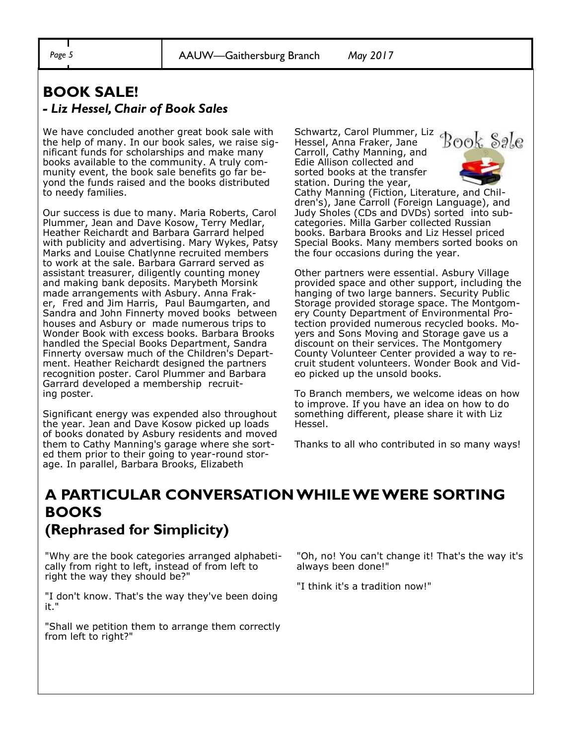#### **BOOK SALE!**  *- Liz Hessel, Chair of Book Sales*

We have concluded another great book sale with the help of many. In our book sales, we raise significant funds for scholarships and make many books available to the community. A truly community event, the book sale benefits go far beyond the funds raised and the books distributed to needy families.

Our success is due to many. Maria Roberts, Carol Plummer, Jean and Dave Kosow, Terry Medlar, Heather Reichardt and Barbara Garrard helped with publicity and advertising. Mary Wykes, Patsy Marks and Louise Chatlynne recruited members to work at the sale. Barbara Garrard served as assistant treasurer, diligently counting money and making bank deposits. Marybeth Morsink made arrangements with Asbury. Anna Fraker, Fred and Jim Harris, Paul Baumgarten, and Sandra and John Finnerty moved books between houses and Asbury or made numerous trips to Wonder Book with excess books. Barbara Brooks handled the Special Books Department, Sandra Finnerty oversaw much of the Children's Department. Heather Reichardt designed the partners recognition poster. Carol Plummer and Barbara Garrard developed a membership recruiting poster.

Significant energy was expended also throughout the year. Jean and Dave Kosow picked up loads of books donated by Asbury residents and moved them to Cathy Manning's garage where she sorted them prior to their going to year-round storage. In parallel, Barbara Brooks, Elizabeth

Schwartz, Carol Plummer, Liz Hessel, Anna Fraker, Jane Carroll, Cathy Manning, and Edie Allison collected and sorted books at the transfer station. During the year,



Cathy Manning (Fiction, Literature, and Children's), Jane Carroll (Foreign Language), and Judy Sholes (CDs and DVDs) sorted into subcategories. Milla Garber collected Russian books. Barbara Brooks and Liz Hessel priced Special Books. Many members sorted books on the four occasions during the year.

Other partners were essential. Asbury Village provided space and other support, including the hanging of two large banners. Security Public Storage provided storage space. The Montgomery County Department of Environmental Protection provided numerous recycled books. Moyers and Sons Moving and Storage gave us a discount on their services. The Montgomery County Volunteer Center provided a way to recruit student volunteers. Wonder Book and Video picked up the unsold books.

To Branch members, we welcome ideas on how to improve. If you have an idea on how to do something different, please share it with Liz Hessel.

Thanks to all who contributed in so many ways!

### **A PARTICULAR CONVERSATION WHILE WE WERE SORTING BOOKS (Rephrased for Simplicity)**

"Why are the book categories arranged alphabetically from right to left, instead of from left to right the way they should be?"

"I don't know. That's the way they've been doing it."

"Shall we petition them to arrange them correctly from left to right?"

"Oh, no! You can't change it! That's the way it's always been done!"

"I think it's a tradition now!"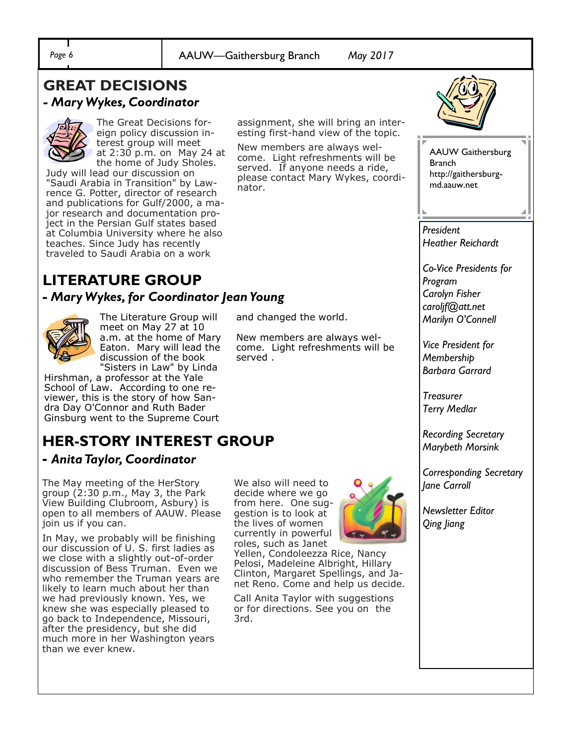Page 6 **AAUW—Gaithersburg Branch** *May 2017* 

#### **GREAT DECISIONS**  *- Mary Wykes, Coordinator*



The Great Decisions foreign policy discussion interest group will meet at 2:30 p.m. on May 24 at the home of Judy Sholes.

Judy will lead our discussion on "Saudi Arabia in Transition" by Lawrence G. Potter, director of research and publications for Gulf/2000, a major research and documentation project in the Persian Gulf states based at Columbia University where he also teaches. Since Judy has recently traveled to Saudi Arabia on a work

assignment, she will bring an interesting first-hand view of the topic.

New members are always welcome. Light refreshments will be served. If anyone needs a ride, please contact Mary Wykes, coordinator.

# **LITERATURE GROUP**

#### *- Mary Wykes, for Coordinator Jean Young*



The Literature Group will meet on May 27 at 10 a.m. at the home of Mary Eaton. Mary will lead the discussion of the book "Sisters in Law" by Linda

Hirshman, a professor at the Yale School of Law. According to one reviewer, this is the story of how Sandra Day O'Connor and Ruth Bader Ginsburg went to the Supreme Court

## **HER-STORY INTEREST GROUP**

#### **-** *Anita Taylor, Coordinator*

The May meeting of the HerStory group (2:30 p.m., May 3, the Park View Building Clubroom, Asbury) is open to all members of AAUW. Please join us if you can.

In May, we probably will be finishing our discussion of U. S. first ladies as we close with a slightly out-of-order discussion of Bess Truman. Even we who remember the Truman years are likely to learn much about her than we had previously known. Yes, we knew she was especially pleased to go back to Independence, Missouri, after the presidency, but she did much more in her Washington years than we ever knew.

We also will need to decide where we go from here. One suggestion is to look at the lives of women currently in powerful roles, such as Janet

and changed the world.

served .

New members are always welcome. Light refreshments will be

Yellen, Condoleezza Rice, Nancy Pelosi, Madeleine Albright, Hillary Clinton, Margaret Spellings, and Janet Reno. Come and help us decide.

Call Anita Taylor with suggestions or for directions. See you on the 3rd.





AAUW Gaithersburg Branch http://gaithersburgmd.aauw.net

*President Heather Reichardt*

*Co-Vice Presidents for Program Carolyn Fisher caroljf@att.net Marilyn O'Connell*

*Vice President for Membership Barbara Garrard*

*Treasurer Terry Medlar*

*Recording Secretary Marybeth Morsink*

*Corresponding Secretary Jane Carroll*

*Newsletter Editor Qing Jiang*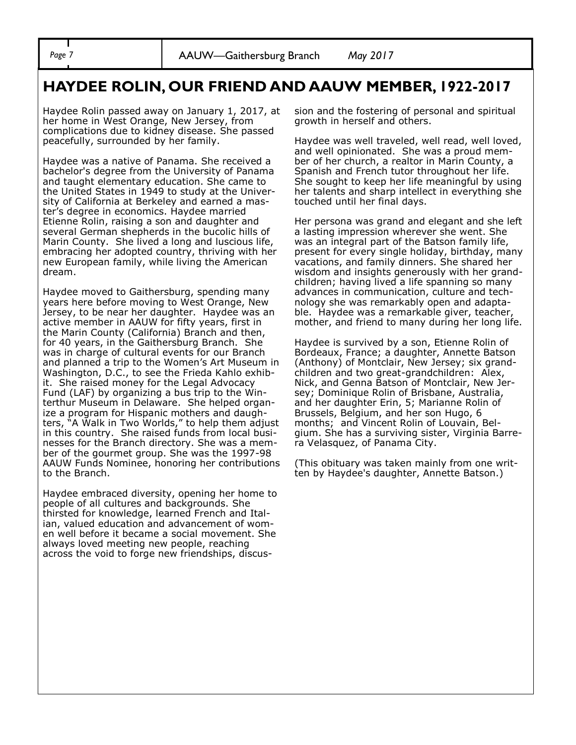#### **HAYDEE ROLIN, OUR FRIEND AND AAUW MEMBER, 1922-2017**

Haydee Rolin passed away on January 1, 2017, at her home in West Orange, New Jersey, from complications due to kidney disease. She passed peacefully, surrounded by her family.

Haydee was a native of Panama. She received a bachelor's degree from the University of Panama and taught elementary education. She came to the United States in 1949 to study at the University of California at Berkeley and earned a master's degree in economics. Haydee married Etienne Rolin, raising a son and daughter and several German shepherds in the bucolic hills of Marin County. She lived a long and luscious life, embracing her adopted country, thriving with her new European family, while living the American dream.

Haydee moved to Gaithersburg, spending many years here before moving to West Orange, New Jersey, to be near her daughter. Haydee was an active member in AAUW for fifty years, first in the Marin County (California) Branch and then, for 40 years, in the Gaithersburg Branch. She was in charge of cultural events for our Branch and planned a trip to the Women's Art Museum in Washington, D.C., to see the Frieda Kahlo exhibit. She raised money for the Legal Advocacy Fund (LAF) by organizing a bus trip to the Winterthur Museum in Delaware. She helped organize a program for Hispanic mothers and daughters, "A Walk in Two Worlds," to help them adjust in this country. She raised funds from local businesses for the Branch directory. She was a member of the gourmet group. She was the 1997-98 AAUW Funds Nominee, honoring her contributions to the Branch.

Haydee embraced diversity, opening her home to people of all cultures and backgrounds. She thirsted for knowledge, learned French and Italian, valued education and advancement of women well before it became a social movement. She always loved meeting new people, reaching across the void to forge new friendships, discussion and the fostering of personal and spiritual growth in herself and others.

Haydee was well traveled, well read, well loved, and well opinionated. She was a proud member of her church, a realtor in Marin County, a Spanish and French tutor throughout her life. She sought to keep her life meaningful by using her talents and sharp intellect in everything she touched until her final days.

Her persona was grand and elegant and she left a lasting impression wherever she went. She was an integral part of the Batson family life, present for every single holiday, birthday, many vacations, and family dinners. She shared her wisdom and insights generously with her grandchildren; having lived a life spanning so many advances in communication, culture and technology she was remarkably open and adaptable. Haydee was a remarkable giver, teacher, mother, and friend to many during her long life.

Haydee is survived by a son, Etienne Rolin of Bordeaux, France; a daughter, Annette Batson (Anthony) of Montclair, New Jersey; six grandchildren and two great-grandchildren: Alex, Nick, and Genna Batson of Montclair, New Jersey; Dominique Rolin of Brisbane, Australia, and her daughter Erin, 5; Marianne Rolin of Brussels, Belgium, and her son Hugo, 6 months; and Vincent Rolin of Louvain, Belgium. She has a surviving sister, Virginia Barrera Velasquez, of Panama City.

(This obituary was taken mainly from one written by Haydee's daughter, Annette Batson.)